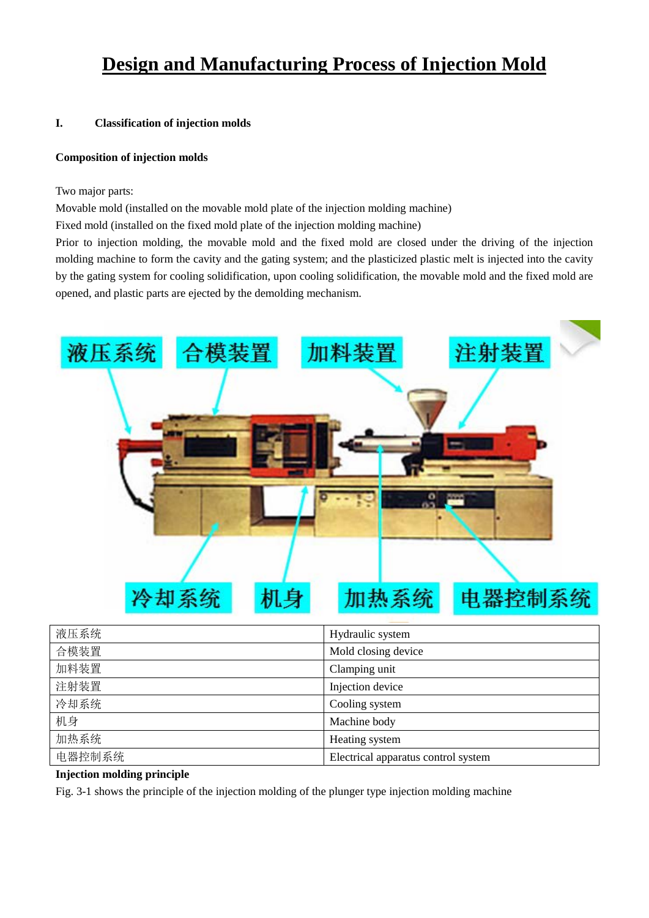# **Design and Manufacturing Process of Injection Mold**

## **I. Classification of injection molds**

## **Composition of injection molds**

Two major parts:

Movable mold (installed on the movable mold plate of the injection molding machine)

Fixed mold (installed on the fixed mold plate of the injection molding machine)

Prior to injection molding, the movable mold and the fixed mold are closed under the driving of the injection molding machine to form the cavity and the gating system; and the plasticized plastic melt is injected into the cavity by the gating system for cooling solidification, upon cooling solidification, the movable mold and the fixed mold are opened, and plastic parts are ejected by the demolding mechanism.



| 液压系统   | Hydraulic system                    |
|--------|-------------------------------------|
| 合模装置   | Mold closing device                 |
| 加料装置   | Clamping unit                       |
| 注射装置   | Injection device                    |
| 冷却系统   | Cooling system                      |
| 机身     | Machine body                        |
| 加热系统   | Heating system                      |
| 电器控制系统 | Electrical apparatus control system |

## **Injection molding principle**

Fig. 3-1 shows the principle of the injection molding of the plunger type injection molding machine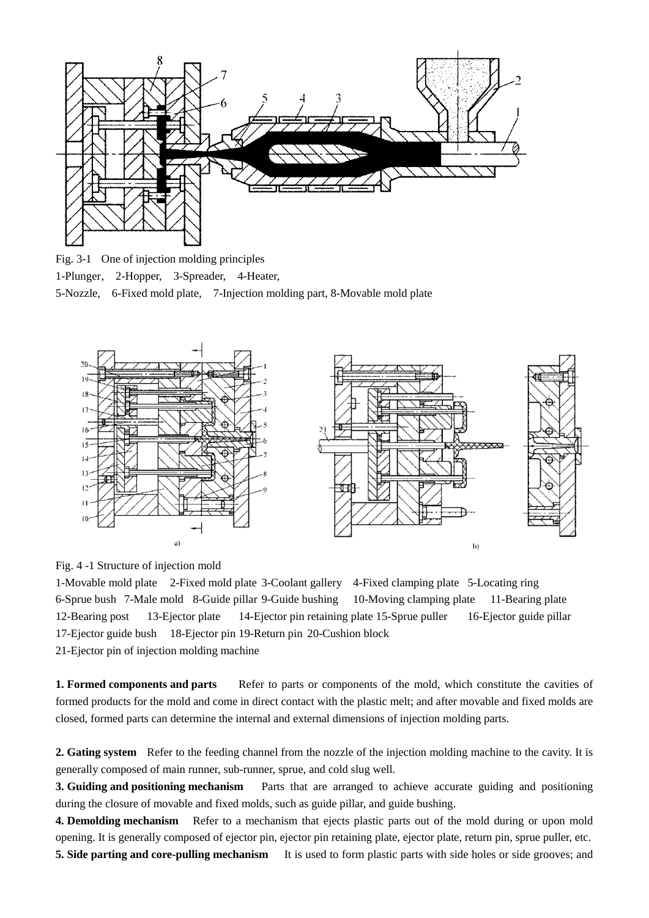

Fig. 3-1 One of injection molding principles 1-Plunger, 2-Hopper, 3-Spreader, 4-Heater, 5-Nozzle, 6-Fixed mold plate, 7-Injection molding part, 8-Movable mold plate



Fig. 4 -1 Structure of injection mold

1-Movable mold plate 2-Fixed mold plate 3-Coolant gallery 4-Fixed clamping plate 5-Locating ring 6-Sprue bush 7-Male mold 8-Guide pillar 9-Guide bushing 10-Moving clamping plate 11-Bearing plate 12-Bearing post 13-Ejector plate 14-Ejector pin retaining plate 15-Sprue puller 16-Ejector guide pillar 17-Ejector guide bush 18-Ejector pin 19-Return pin 20-Cushion block 21-Ejector pin of injection molding machine

**1. Formed components and parts** Refer to parts or components of the mold, which constitute the cavities of formed products for the mold and come in direct contact with the plastic melt; and after movable and fixed molds are closed, formed parts can determine the internal and external dimensions of injection molding parts.

**2. Gating system** Refer to the feeding channel from the nozzle of the injection molding machine to the cavity. It is generally composed of main runner, sub-runner, sprue, and cold slug well.

**3. Guiding and positioning mechanism** Parts that are arranged to achieve accurate guiding and positioning during the closure of movable and fixed molds, such as guide pillar, and guide bushing.

**4. Demolding mechanism** Refer to a mechanism that ejects plastic parts out of the mold during or upon mold opening. It is generally composed of ejector pin, ejector pin retaining plate, ejector plate, return pin, sprue puller, etc. **5. Side parting and core-pulling mechanism** It is used to form plastic parts with side holes or side grooves; and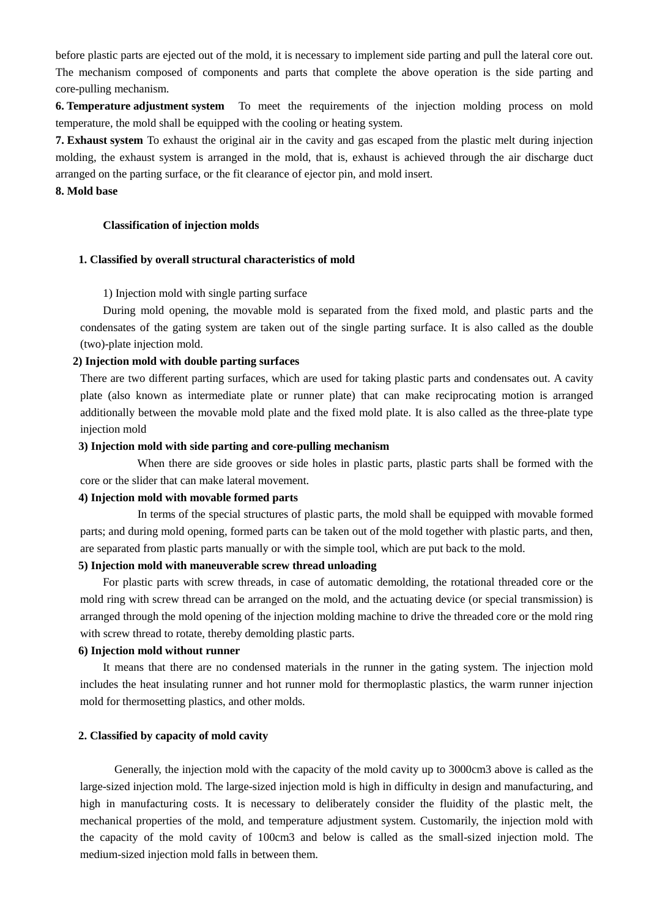before plastic parts are ejected out of the mold, it is necessary to implement side parting and pull the lateral core out. The mechanism composed of components and parts that complete the above operation is the side parting and core-pulling mechanism.

**6. Temperature adjustment system** To meet the requirements of the injection molding process on mold temperature, the mold shall be equipped with the cooling or heating system.

**7. Exhaust system** To exhaust the original air in the cavity and gas escaped from the plastic melt during injection molding, the exhaust system is arranged in the mold, that is, exhaust is achieved through the air discharge duct arranged on the parting surface, or the fit clearance of ejector pin, and mold insert.

### **8. Mold base**

#### **Classification of injection molds**

#### **1. Classified by overall structural characteristics of mold**

#### 1) Injection mold with single parting surface

During mold opening, the movable mold is separated from the fixed mold, and plastic parts and the condensates of the gating system are taken out of the single parting surface. It is also called as the double (two)-plate injection mold.

#### **2) Injection mold with double parting surfaces**

There are two different parting surfaces, which are used for taking plastic parts and condensates out. A cavity plate (also known as intermediate plate or runner plate) that can make reciprocating motion is arranged additionally between the movable mold plate and the fixed mold plate. It is also called as the three-plate type injection mold

### **3) Injection mold with side parting and core-pulling mechanism**

 When there are side grooves or side holes in plastic parts, plastic parts shall be formed with the core or the slider that can make lateral movement.

#### **4) Injection mold with movable formed parts**

 In terms of the special structures of plastic parts, the mold shall be equipped with movable formed parts; and during mold opening, formed parts can be taken out of the mold together with plastic parts, and then, are separated from plastic parts manually or with the simple tool, which are put back to the mold.

## **5) Injection mold with maneuverable screw thread unloading**

For plastic parts with screw threads, in case of automatic demolding, the rotational threaded core or the mold ring with screw thread can be arranged on the mold, and the actuating device (or special transmission) is arranged through the mold opening of the injection molding machine to drive the threaded core or the mold ring with screw thread to rotate, thereby demolding plastic parts.

#### **6) Injection mold without runner**

It means that there are no condensed materials in the runner in the gating system. The injection mold includes the heat insulating runner and hot runner mold for thermoplastic plastics, the warm runner injection mold for thermosetting plastics, and other molds.

### **2. Classified by capacity of mold cavity**

 Generally, the injection mold with the capacity of the mold cavity up to 3000cm3 above is called as the large-sized injection mold. The large-sized injection mold is high in difficulty in design and manufacturing, and high in manufacturing costs. It is necessary to deliberately consider the fluidity of the plastic melt, the mechanical properties of the mold, and temperature adjustment system. Customarily, the injection mold with the capacity of the mold cavity of 100cm3 and below is called as the small-sized injection mold. The medium-sized injection mold falls in between them.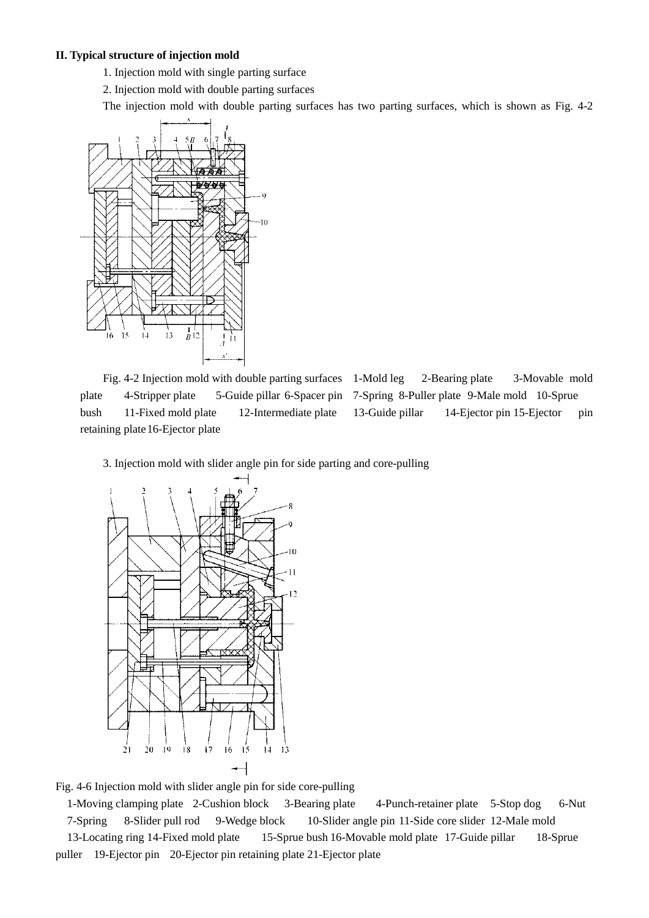#### **II. Typical structure of injection mold**

- 1. Injection mold with single parting surface
- 2. Injection mold with double parting surfaces

The injection mold with double parting surfaces has two parting surfaces, which is shown as Fig. 4-2



Fig. 4-2 Injection mold with double parting surfaces 1-Mold leg 2-Bearing plate 3-Movable mold plate 4-Stripper plate 5-Guide pillar 6-Spacer pin 7-Spring 8-Puller plate 9-Male mold 10-Sprue bush 11-Fixed mold plate 12-Intermediate plate 13-Guide pillar 14-Ejector pin 15-Ejector pin retaining plate 16-Ejector plate

3. Injection mold with slider angle pin for side parting and core-pulling



Fig. 4-6 Injection mold with slider angle pin for side core-pulling

1-Moving clamping plate 2-Cushion block 3-Bearing plate 4-Punch-retainer plate 5-Stop dog 6-Nut 7-Spring 8-Slider pull rod 9-Wedge block 10-Slider angle pin 11-Side core slider 12-Male mold 13-Locating ring 14-Fixed mold plate 15-Sprue bush 16-Movable mold plate 17-Guide pillar 18-Sprue puller 19-Ejector pin 20-Ejector pin retaining plate 21-Ejector plate